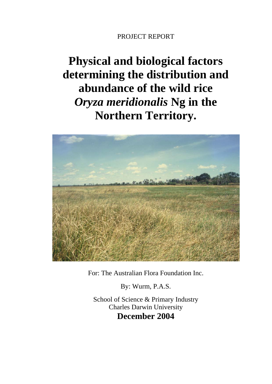# PROJECT REPORT

# **Physical and biological factors determining the distribution and abundance of the wild rice**  *Oryza meridionalis* **Ng in the Northern Territory.**



For: The Australian Flora Foundation Inc.

By: Wurm, P.A.S.

School of Science & Primary Industry Charles Darwin University **December 2004**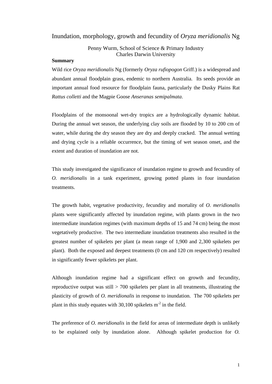Inundation, morphology, growth and fecundity of *Oryza meridionalis* Ng

Penny Wurm, School of Science & Primary Industry Charles Darwin University

## **Summary**

Wild rice *Oryza meridionalis* Ng (formerly *Oryza rufiopogon* Griff.) is a widespread and abundant annual floodplain grass, endemic to northern Australia. Its seeds provide an important annual food resource for floodplain fauna, particularly the Dusky Plains Rat *Rattus colletti* and the Magpie Goose *Anseranas semipalmata*.

Floodplains of the monsoonal wet-dry tropics are a hydrologically dynamic habitat. During the annual wet season, the underlying clay soils are flooded by 10 to 200 cm of water, while during the dry season they are dry and deeply cracked. The annual wetting and drying cycle is a reliable occurrence, but the timing of wet season onset, and the extent and duration of inundation are not.

This study investigated the significance of inundation regime to growth and fecundity of *O. meridionalis* in a tank experiment, growing potted plants in four inundation treatments.

The growth habit, vegetative productivity, fecundity and mortality of *O. meridionalis* plants were significantly affected by inundation regime, with plants grown in the two intermediate inundation regimes (with maximum depths of 15 and 74 cm) being the most vegetatively productive. The two intermediate inundation treatments also resulted in the greatest number of spikelets per plant (a mean range of 1,900 and 2,300 spikelets per plant). Both the exposed and deepest treatments (0 cm and 120 cm respectively) resulted in significantly fewer spikelets per plant.

Although inundation regime had a significant effect on growth and fecundity, reproductive output was still  $> 700$  spikelets per plant in all treatments, illustrating the plasticity of growth of *O. meridionalis* in response to inundation. The 700 spikelets per plant in this study equates with 30,100 spikelets  $m<sup>2</sup>$  in the field.

The preference of *O. meridionalis* in the field for areas of intermediate depth is unlikely to be explained only by inundation alone. Although spikelet production for *O.*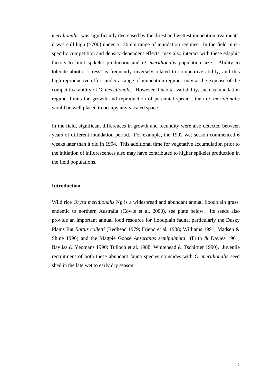*meridionalis*, was significantly decreased by the driest and wettest inundation treatments, it was still high (>700) under a 120 cm range of inundation regimes. In the field interspecific competition and density-dependent effects, may also interact with these edaphic factors to limit spikelet production and *O. meridionalis* population size. Ability to tolerate abiotic "stress" is frequently inversely related to competitive ability, and this high reproductive effort under a range of inundation regimes may at the expense of the competitive ability of *O. meridionalis*. However if habitat variability, such as inundation regime, limits the growth and reproduction of perennial species, then *O. meridionalis*  would be well placed to occupy any vacated space.

In the field, significant differences in growth and fecundity were also detected between years of different inundation period. For example, the 1992 wet season commenced 6 weeks later than it did in 1994. This additional time for vegetative accumulation prior to the initiation of inflorescences also may have contributed to higher spikelet production in the field populations.

# **Introduction**

Wild rice *Oryza meridionalis* Ng is a widespread and abundant annual floodplain grass, endemic to northern Australia (Cowie et al. 2000), see plate below. Its seeds also provide an important annual food resource for floodplain fauna, particularly the Dusky Plains Rat *Rattus colletti* (Redhead 1979; Friend et al*.* 1988; Williams 1991; Madsen & Shine 1996) and the Magpie Goose *Anseranas semipalmata* (Frith & Davies 1961; Bayliss & Yeomans 1990; Tulloch et al. 1988; Whitehead & Tschirner 1990). Juvenile recruitment of both these abundant fauna species coincides with *O. meridionalis* seed shed in the late wet to early dry season.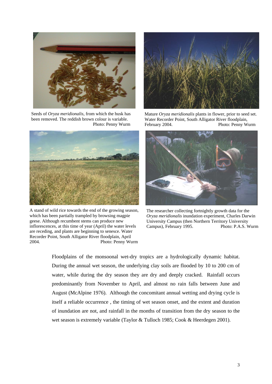

Seeds of *Oryza meridionalis*, from which the husk has been removed. The reddish brown colour is variable. Photo: Penny Wurm



A stand of wild rice towards the end of the growing season, which has been partially trampled by browsing magpie geese. Although recumbent stems can produce new inflorescences, at this time of year (April) the water levels are receding, and plants are beginning to senesce. Water Recorder Point, South Alligator River floodplain, April 2004. Photo: Penny Wurm



Mature *Oryza meridionalis* plants in flower, prior to seed set. Water Recorder Point, South Alligator River floodplain, February 2004. Photo: Penny Wurm



The researcher collecting fortnightly growth data for the *Oryza meridionalis* inundation experiment, Charles Darwin University Campus (then Northern Territory University Campus), February 1995. Photo: P.A.S. Wurm

Floodplains of the monsoonal wet-dry tropics are a hydrologically dynamic habitat. During the annual wet season, the underlying clay soils are flooded by 10 to 200 cm of water, while during the dry season they are dry and deeply cracked. Rainfall occurs predominantly from November to April, and almost no rain falls between June and August (McAlpine 1976). Although the concomitant annual wetting and drying cycle is itself a reliable occurrence , the timing of wet season onset, and the extent and duration of inundation are not, and rainfall in the months of transition from the dry season to the wet season is extremely variable (Taylor & Tulloch 1985; Cook & Heerdegen 2001).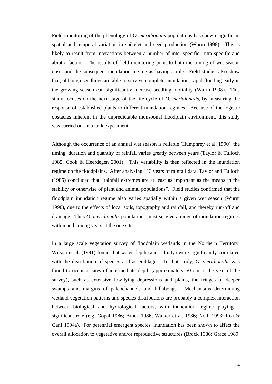Field monitoring of the phenology of *O. meridionalis* populations has shown significant spatial and temporal variation in spikelet and seed production (Wurm 1998). This is likely to result from interactions between a number of inter-specific, intra-specific and abiotic factors. The results of field monitoring point to both the timing of wet season onset and the subsequent inundation regime as having a role. Field studies also show that, although seedlings are able to survive complete inundation, rapid flooding early in the growing season can significantly increase seedling mortality (Wurm 1998). This study focuses on the next stage of the life-cycle of *O. meridionalis*, by measuring the response of established plants to different inundation regimes. Because of the logistic obstacles inherent in the unpredictable monsoonal floodplain environment, this study was carried out in a tank experiment.

Although the occurrence of an annual wet season is reliable (Humphrey et al. 1990), the timing, duration and quantity of rainfall varies greatly between years (Taylor & Tulloch 1985; Cook & Heerdegen 2001). This variability is then reflected in the inundation regime on the floodplains. After analysing 113 years of rainfall data, Taylor and Tulloch (1985) concluded that "rainfall extremes are at least as important as the means in the stability or otherwise of plant and animal populations". Field studies confirmed that the floodplain inundation regime also varies spatially within a given wet season (Wurm 1998), due to the effects of local soils, topography and rainfall, and thereby run-off and drainage. Thus *O. meridionalis* populations must survive a range of inundation regimes within and among years at the one site.

In a large scale vegetation survey of floodplain wetlands in the Northern Territory, Wilson et al. (1991) found that water depth (and salinity) were significantly correlated with the distribution of species and assemblages. In that study, *O. meridionalis* was found to occur at sites of intermediate depth (approximately 50 cm in the year of the survey), such as extensive low-lying depressions and plains, the fringes of deeper swamps and margins of paleochannels and billabongs. Mechanisms determining wetland vegetation patterns and species distributions are probably a complex interaction between biological and hydrological factors, with inundation regime playing a significant role (e.g. Gopal 1986; Brock 1986; Walker et al. 1986; Neill 1993; Rea & Ganf 1994a). For perennial emergent species, inundation has been shown to affect the overall allocation to vegetative and/or reproductive structures (Brock 1986; Grace 1989;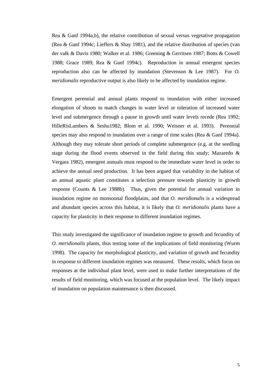Rea & Ganf 1994a,b), the relative contribution of sexual versus vegetative propagation (Rea & Ganf 1994c; Lieffers & Shay 1981), and the relative distribution of species (van der valk & Davis 1980; Walker et al. 1986; Greening & Gerritsen 1987; Botts & Cowell 1988; Grace 1989; Rea & Ganf 1994c). Reproduction in annual emergent species reproduction also can be affected by inundation (Stevenson & Lee 1987). For *O. meridionalis* reproductive output is also likely to be affected by inundation regime.

Emergent perennial and annual plants respond to inundation with either increased elongation of shoots to match changes in water level or toleration of increased water level and submergence through a pause in growth until water levels recede (Rea 1992; HilleRisLambers & Seshu1982; Blom et al. 1990; Weisner et al. 1993). Perennial species may also respond to inundation over a range of time scales (Rea & Ganf 1994a). Although they may tolerate short periods of complete submergence (e.g. at the seedling stage during the flood events observed in the field during this study; Mazaredo  $\&$ Vergara 1982), emergent annuals must respond to the immediate water level in order to achieve the annual seed production. It has been argued that variability in the habitat of an annual aquatic plant constitutes a selection pressure towards plasticity in growth response (Counts & Lee 1988b). Thus, given the potential for annual variation in inundation regime on monsoonal floodplains, and that *O. meridionalis* is a widespread and abundant species across this habitat, it is likely that *O. meridionalis* plants have a capacity for plasticity in their response to different inundation regimes.

This study investigated the significance of inundation regime to growth and fecundity of *O. meridionalis* plants, thus testing some of the implications of field monitoring (Wurm 1998). The capacity for morphological plasticity, and variation of growth and fecundity in response to different inundation regimes was measured. These results, which focus on responses at the individual plant level, were used to make further interpretations of the results of field monitoring, which was focused at the population level. The likely impact of inundation on population maintenance is then discussed.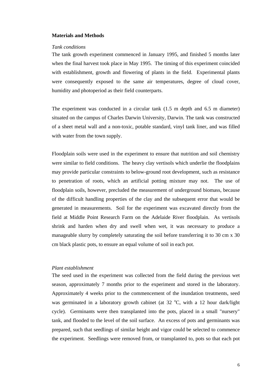#### **Materials and Methods**

#### *Tank conditions*

The tank growth experiment commenced in January 1995, and finished 5 months later when the final harvest took place in May 1995. The timing of this experiment coincided with establishment, growth and flowering of plants in the field. Experimental plants were consequently exposed to the same air temperatures, degree of cloud cover, humidity and photoperiod as their field counterparts.

The experiment was conducted in a circular tank (1.5 m depth and 6.5 m diameter) situated on the campus of Charles Darwin University, Darwin. The tank was constructed of a sheet metal wall and a non-toxic, potable standard, vinyl tank liner, and was filled with water from the town supply.

Floodplain soils were used in the experiment to ensure that nutrition and soil chemistry were similar to field conditions. The heavy clay vertisols which underlie the floodplains may provide particular constraints to below-ground root development, such as resistance to penetration of roots, which an artificial potting mixture may not. The use of floodplain soils, however, precluded the measurement of underground biomass, because of the difficult handling properties of the clay and the subsequent error that would be generated in measurements. Soil for the experiment was excavated directly from the field at Middle Point Research Farm on the Adelaide River floodplain. As vertisols shrink and harden when dry and swell when wet, it was necessary to produce a manageable slurry by completely saturating the soil before transferring it to 30 cm x 30 cm black plastic pots, to ensure an equal volume of soil in each pot.

## *Plant establishment*

The seed used in the experiment was collected from the field during the previous wet season, approximately 7 months prior to the experiment and stored in the laboratory. Approximately 4 weeks prior to the commencement of the inundation treatments, seed was germinated in a laboratory growth cabinet (at  $32 \text{ °C}$ , with a 12 hour dark/light cycle). Germinants were then transplanted into the pots, placed in a small "nursery" tank, and flooded to the level of the soil surface. An excess of pots and germinants was prepared, such that seedlings of similar height and vigor could be selected to commence the experiment. Seedlings were removed from, or transplanted to, pots so that each pot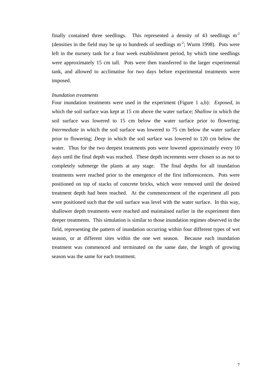finally contained three seedlings. This represented a density of 43 seedlings  $m<sup>-2</sup>$ (densities in the field may be up to hundreds of seedlings  $m<sup>-2</sup>$ ; Wurm 1998). Pots were left in the nursery tank for a four week establishment period, by which time seedlings were approximately 15 cm tall. Pots were then transferred to the larger experimental tank, and allowed to acclimatise for two days before experimental treatments were imposed.

#### *Inundation treatments*

Four inundation treatments were used in the experiment (Figure 1 a,b): *Exposed*, in which the soil surface was kept at 15 cm above the water surface; *Shallow* in which the soil surface was lowered to 15 cm below the water surface prior to flowering; *Intermediate* in which the soil surface was lowered to 75 cm below the water surface prior to flowering; *Deep* in which the soil surface was lowered to 120 cm below the water. Thus for the two deepest treatments pots were lowered approximately every 10 days until the final depth was reached. These depth increments were chosen so as not to completely submerge the plants at any stage. The final depths for all inundation treatments were reached prior to the emergence of the first inflorescences. Pots were positioned on top of stacks of concrete bricks, which were removed until the desired treatment depth had been reached. At the commencement of the experiment all pots were positioned such that the soil surface was level with the water surface. In this way, shallower depth treatments were reached and maintained earlier in the experiment then deeper treatments. This simulation is similar to those inundation regimes observed in the field, representing the pattern of inundation occurring within four different types of wet season, or at different sites within the one wet season. Because each inundation treatment was commenced and terminated on the same date, the length of growing season was the same for each treatment.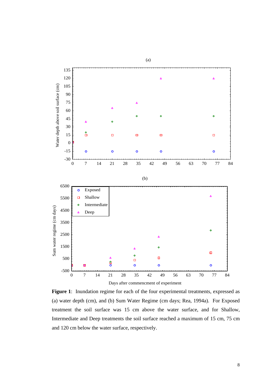

**Figure 1**: Inundation regime for each of the four experimental treatments, expressed as (a) water depth (cm), and (b) Sum Water Regime (cm days; Rea, 1994a). For Exposed treatment the soil surface was 15 cm above the water surface, and for Shallow, Intermediate and Deep treatments the soil surface reached a maximum of 15 cm, 75 cm and 120 cm below the water surface, respectively.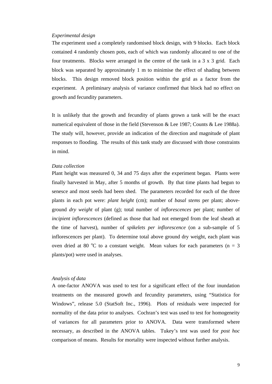#### *Experimental design*

The experiment used a completely randomised block design, with 9 blocks. Each block contained 4 randomly chosen pots, each of which was randomly allocated to one of the four treatments. Blocks were arranged in the centre of the tank in a 3 x 3 grid. Each block was separated by approximately 1 m to minimise the effect of shading between blocks. This design removed block position within the grid as a factor from the experiment. A preliminary analysis of variance confirmed that block had no effect on growth and fecundity parameters.

It is unlikely that the growth and fecundity of plants grown a tank will be the exact numerical equivalent of those in the field (Stevenson & Lee 1987; Counts & Lee 1988a). The study will, however, provide an indication of the direction and magnitude of plant responses to flooding. The results of this tank study are discussed with those constraints in mind.

#### *Data collection*

Plant height was measured 0, 34 and 75 days after the experiment began. Plants were finally harvested in May, after 5 months of growth. By that time plants had begun to senesce and most seeds had been shed. The parameters recorded for each of the three plants in each pot were: *plant height* (cm); number of *basal stems* per plant; aboveground *dry weight* of plant (g); total number of *inflorescences* per plant; number of *incipient inflorescences* (defined as those that had not emerged from the leaf sheath at the time of harvest), number of *spikelets per inflorescence* (on a sub-sample of 5 inflorescences per plant). To determine total above ground dry weight, each plant was oven dried at 80 °C to a constant weight. Mean values for each parameters ( $n = 3$ ) plants/pot) were used in analyses.

#### *Analysis of data*

A one-factor ANOVA was used to test for a significant effect of the four inundation treatments on the measured growth and fecundity parameters, using "Statistica for Windows", release 5.0 (StatSoft Inc., 1996). Plots of residuals were inspected for normality of the data prior to analyses. Cochran's test was used to test for homogeneity of variances for all parameters prior to ANOVA. Data were transformed where necessary, as described in the ANOVA tables. Tukey's test was used for *post hoc* comparison of means. Results for mortality were inspected without further analysis.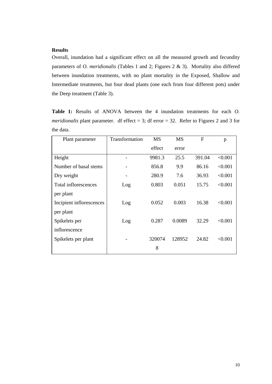# **Results**

Overall, inundation had a significant effect on all the measured growth and fecundity parameters of *O. meridionalis* (Tables 1 and 2; Figures 2 & 3). Mortality also differed between inundation treatments, with no plant mortality in the Exposed, Shallow and Intermediate treatments, but four dead plants (one each from four different pots) under the Deep treatment (Table 3).

**Table 1:** Results of ANOVA between the 4 inundation treatments for each *O. meridionalis* plant parameter. df effect = 3; df error = 32. Refer to Figures 2 and 3 for the data.

| Plant parameter          | Transformation | <b>MS</b> | <b>MS</b> | $F_{\rm}$ | p       |
|--------------------------|----------------|-----------|-----------|-----------|---------|
|                          |                | effect    | error     |           |         |
| Height                   |                | 9981.3    | 25.5      | 391.04    | < 0.001 |
| Number of basal stems    |                | 856.8     | 9.9       | 86.16     | < 0.001 |
| Dry weight               |                | 280.9     | 7.6       | 36.93     | < 0.001 |
| Total inflorescences     | Log            | 0.803     | 0.051     | 15.75     | < 0.001 |
| per plant                |                |           |           |           |         |
| Incipient inflorescences | Log            | 0.052     | 0.003     | 16.38     | < 0.001 |
| per plant                |                |           |           |           |         |
| Spikelets per            | Log            | 0.287     | 0.0089    | 32.29     | < 0.001 |
| inflorescence            |                |           |           |           |         |
| Spikelets per plant      |                | 320074    | 128952    | 24.82     | < 0.001 |
|                          |                | 8         |           |           |         |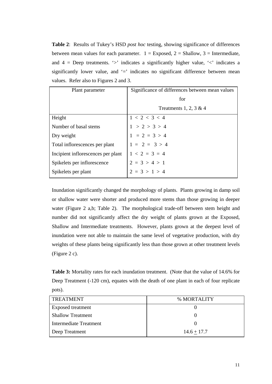**Table 2**: Results of Tukey's HSD *post hoc* testing, showing significance of differences between mean values for each parameter.  $1 =$  Exposed,  $2 =$  Shallow,  $3 =$  Intermediate, and  $4 = \text{Deep treatments.}$   $\geq$  indicates a significantly higher value,  $\leq$  indicates a significantly lower value, and '=' indicates no significant difference between mean values. Refer also to Figures 2 and 3.

| Plant parameter                    | Significance of differences between mean values |
|------------------------------------|-------------------------------------------------|
|                                    | for                                             |
|                                    | Treatments 1, 2, 3 & 4                          |
| Height                             | 1 < 2 < 3 < 4                                   |
| Number of basal stems              | 1 > 2 > 3 > 4                                   |
| Dry weight                         | $1 = 2 = 3 > 4$                                 |
| Total inflorescences per plant     | $1 = 2 = 3 > 4$                                 |
| Incipient inflorescences per plant | $1 < 2 = 3 = 4$                                 |
| Spikelets per inflorescence        | $2 = 3 > 4 > 1$                                 |
| Spikelets per plant                | $2 = 3 > 1 > 4$                                 |

Inundation significantly changed the morphology of plants. Plants growing in damp soil or shallow water were shorter and produced more stems than those growing in deeper water (Figure 2 a,b; Table 2). The morphological trade-off between stem height and number did not significantly affect the dry weight of plants grown at the Exposed, Shallow and Intermediate treatments. However, plants grown at the deepest level of inundation were not able to maintain the same level of vegetative production, with dry weights of these plants being significantly less than those grown at other treatment levels (Figure 2 c).

**Table 3:** Mortality rates for each inundation treatment. (Note that the value of 14.6% for Deep Treatment (-120 cm), equates with the death of one plant in each of four replicate pots).

| <b>TREATMENT</b>         | % MORTALITY   |
|--------------------------|---------------|
| <b>Exposed</b> treatment |               |
| <b>Shallow Treatment</b> | $\theta$      |
| Intermediate Treatment   | $\theta$      |
| Deep Treatment           | $14.6 + 17.7$ |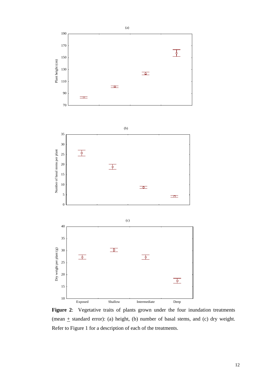

Figure 2: Vegetative traits of plants grown under the four inundation treatments (mean  $\pm$  standard error): (a) height, (b) number of basal stems, and (c) dry weight. Refer to Figure 1 for a description of each of the treatments.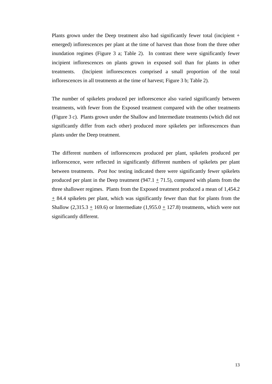Plants grown under the Deep treatment also had significantly fewer total (incipient + emerged) inflorescences per plant at the time of harvest than those from the three other inundation regimes (Figure 3 a; Table 2). In contrast there were significantly fewer incipient inflorescences on plants grown in exposed soil than for plants in other treatments. (Incipient inflorescences comprised a small proportion of the total inflorescences in all treatments at the time of harvest; Figure 3 b; Table 2).

The number of spikelets produced per inflorescence also varied significantly between treatments, with fewer from the Exposed treatment compared with the other treatments (Figure 3 c). Plants grown under the Shallow and Intermediate treatments (which did not significantly differ from each other) produced more spikelets per inflorescences than plants under the Deep treatment.

The different numbers of inflorescences produced per plant, spikelets produced per inflorescence, were reflected in significantly different numbers of spikelets per plant between treatments. *Post hoc* testing indicated there were significantly fewer spikelets produced per plant in the Deep treatment (947.1  $\pm$  71.5), compared with plants from the three shallower regimes. Plants from the Exposed treatment produced a mean of 1,454.2 + 84.4 spikelets per plant, which was significantly fewer than that for plants from the Shallow  $(2,315.3 + 169.6)$  or Intermediate  $(1,955.0 + 127.8)$  treatments, which were not significantly different.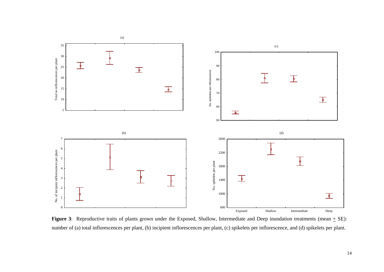

**Figure 3**: Reproductive traits of plants grown under the Exposed, Shallow, Intermediate and Deep inundation treatments (mean  $\pm$  SE): number of (a) total inflorescences per plant, (b) incipient inflorescences per plant, (c) spikelets per inflorescence, and (d) spikelets per plant.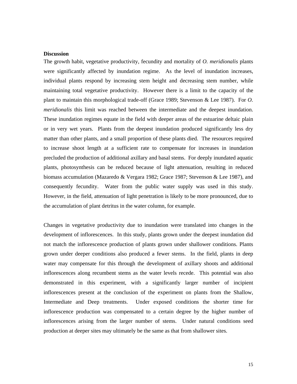#### **Discussion**

The growth habit, vegetative productivity, fecundity and mortality of *O. meridionalis* plants were significantly affected by inundation regime. As the level of inundation increases, individual plants respond by increasing stem height and decreasing stem number, while maintaining total vegetative productivity. However there is a limit to the capacity of the plant to maintain this morphological trade-off (Grace 1989; Stevenson & Lee 1987). For *O. meridionalis* this limit was reached between the intermediate and the deepest inundation. These inundation regimes equate in the field with deeper areas of the estuarine deltaic plain or in very wet years. Plants from the deepest inundation produced significantly less dry matter than other plants, and a small proportion of these plants died. The resources required to increase shoot length at a sufficient rate to compensate for increases in inundation precluded the production of additional axillary and basal stems. For deeply inundated aquatic plants, photosynthesis can be reduced because of light attenuation, resulting in reduced biomass accumulation (Mazaredo & Vergara 1982; Grace 1987; Stevenson & Lee 1987), and consequently fecundity. Water from the public water supply was used in this study. However, in the field, attenuation of light penetration is likely to be more pronounced, due to the accumulation of plant detritus in the water column, for example.

Changes in vegetative productivity due to inundation were translated into changes in the development of inflorescences. In this study, plants grown under the deepest inundation did not match the inflorescence production of plants grown under shallower conditions. Plants grown under deeper conditions also produced a fewer stems. In the field, plants in deep water may compensate for this through the development of axillary shoots and additional inflorescences along recumbent stems as the water levels recede. This potential was also demonstrated in this experiment, with a significantly larger number of incipient inflorescences present at the conclusion of the experiment on plants from the Shallow, Intermediate and Deep treatments. Under exposed conditions the shorter time for inflorescence production was compensated to a certain degree by the higher number of inflorescences arising from the larger number of stems. Under natural conditions seed production at deeper sites may ultimately be the same as that from shallower sites.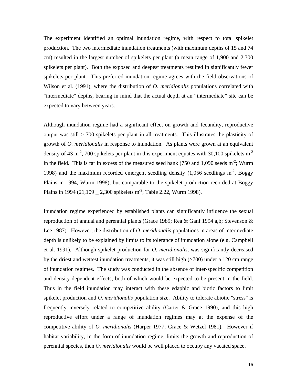The experiment identified an optimal inundation regime, with respect to total spikelet production. The two intermediate inundation treatments (with maximum depths of 15 and 74 cm) resulted in the largest number of spikelets per plant (a mean range of 1,900 and 2,300 spikelets per plant). Both the exposed and deepest treatments resulted in significantly fewer spikelets per plant. This preferred inundation regime agrees with the field observations of Wilson et al. (1991), where the distribution of *O. meridionalis* populations correlated with "intermediate" depths, bearing in mind that the actual depth at an "intermediate" site can be expected to vary between years.

Although inundation regime had a significant effect on growth and fecundity, reproductive output was still > 700 spikelets per plant in all treatments. This illustrates the plasticity of growth of *O. meridionalis* in response to inundation. As plants were grown at an equivalent density of 43 m<sup>-2</sup>, 700 spikelets per plant in this experiment equates with 30,100 spikelets m<sup>-2</sup> in the field. This is far in excess of the measured seed bank (750 and 1,090 seeds  $m<sup>2</sup>$ ; Wurm 1998) and the maximum recorded emergent seedling density  $(1,056$  seedlings m<sup>-2</sup>, Boggy Plains in 1994, Wurm 1998), but comparable to the spikelet production recorded at Boggy Plains in 1994 (21,109 + 2,300 spikelets m<sup>-2</sup>; Table 2.22, Wurm 1998).

Inundation regime experienced by established plants can significantly influence the sexual reproduction of annual and perennial plants (Grace 1989; Rea & Ganf 1994 a,b; Stevenson & Lee 1987). However, the distribution of *O. meridionalis* populations in areas of intermediate depth is unlikely to be explained by limits to its tolerance of inundation alone (e.g. Campbell et al. 1991). Although spikelet production for *O. meridionalis*, was significantly decreased by the driest and wettest inundation treatments, it was still high (>700) under a 120 cm range of inundation regimes. The study was conducted in the absence of inter-specific competition and density-dependent effects, both of which would be expected to be present in the field. Thus in the field inundation may interact with these edaphic and biotic factors to limit spikelet production and *O. meridionalis* population size. Ability to tolerate abiotic "stress" is frequently inversely related to competitive ability (Carter  $\&$  Grace 1990), and this high reproductive effort under a range of inundation regimes may at the expense of the competitive ability of *O. meridionalis* (Harper 1977; Grace & Wetzel 1981). However if habitat variability, in the form of inundation regime, limits the growth and reproduction of perennial species, then *O. meridionalis* would be well placed to occupy any vacated space.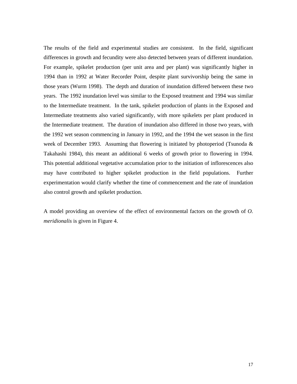The results of the field and experimental studies are consistent. In the field, significant differences in growth and fecundity were also detected between years of different inundation. For example, spikelet production (per unit area and per plant) was significantly higher in 1994 than in 1992 at Water Recorder Point, despite plant survivorship being the same in those years (Wurm 1998). The depth and duration of inundation differed between these two years. The 1992 inundation level was similar to the Exposed treatment and 1994 was similar to the Intermediate treatment. In the tank, spikelet production of plants in the Exposed and Intermediate treatments also varied significantly, with more spikelets per plant produced in the Intermediate treatment. The duration of inundation also differed in those two years, with the 1992 wet season commencing in January in 1992, and the 1994 the wet season in the first week of December 1993. Assuming that flowering is initiated by photoperiod (Tsunoda & Takahashi 1984), this meant an additional 6 weeks of growth prior to flowering in 1994. This potential additional vegetative accumulation prior to the initiation of inflorescences also may have contributed to higher spikelet production in the field populations. Further experimentation would clarify whether the time of commencement and the rate of inundation also control growth and spikelet production.

A model providing an overview of the effect of environmental factors on the growth of *O. meridionalis* is given in Figure 4.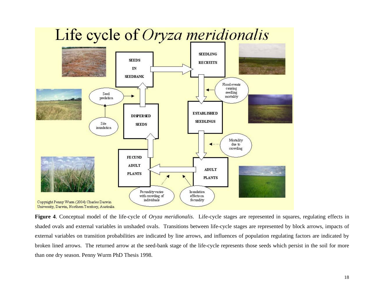

**Figure 4**. Conceptual model of the life-cycle of *Oryza meridionalis*. Life-cycle stages are represented in squares, regulating effects in shaded ovals and external variables in unshaded ovals. Transitions between life-cycle stages are represented by block arrows, impacts of external variables on transition probabilities are indicated by line arrows, and influences of population regulating factors are indicated by broken lined arrows. The returned arrow at the seed-bank stage of the life-cycle represents those seeds which persist in the soil for more than one dry season. Penny Wurm PhD Thesis 1998.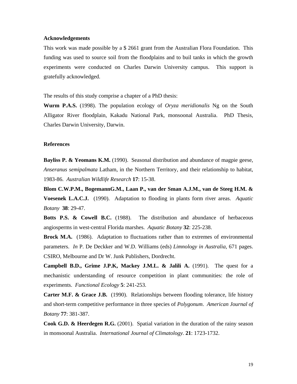#### **Acknowledgements**

This work was made possible by a \$ 2661 grant from the Australian Flora Foundation. This funding was used to source soil from the floodplains and to buil tanks in which the growth experiments were conducted on Charles Darwin University campus. This support is gratefully acknowledged.

The results of this study comprise a chapter of a PhD thesis:

**Wurm P.A.S.** (1998). The population ecology of *Oryza meridionalis* Ng on the South Alligator River floodplain, Kakadu National Park, monsoonal Australia. PhD Thesis, Charles Darwin University, Darwin.

#### **References**

**Bayliss P. & Yeomans K.M.** (1990). Seasonal distribution and abundance of magpie geese, *Anseranus semipalmata* Latham, in the Northern Territory, and their relationship to habitat, 1983-86. *Australian Wildlife Research* **17**: 15-38.

**Blom C.W.P.M., BogemannG.M., Laan P., van der Sman A.J.M., van de Steeg H.M. & Voesenek L.A.C.J.** (1990). Adaptation to flooding in plants form river areas. *Aquatic Botany* **38**: 29-47.

**Botts P.S. & Cowell B.C.** (1988). The distribution and abundance of herbaceous angiosperms in west-central Florida marshes. *Aquatic Botany* **32**: 225-238.

Brock M.A. (1986). Adaptation to fluctuations rather than to extremes of environmental parameters. *In* P. De Deckker and W.D. Williams (eds) *Limnology in Australia*, 671 pages. CSIRO, Melbourne and Dr W. Junk Publishers, Dordrecht.

**Campbell B.D., Grime J.P.K, Mackey J.M.L. & Jalili A.** (1991). The quest for a mechanistic understanding of resource competition in plant communities: the role of experiments. *Functional Ecology* **5**: 241-253.

**Carter M.F. & Grace J.B.** (1990). Relationships between flooding tolerance, life history and short-term competitive performance in three species of *Polygonum*. *American Journal of Botany* **77**: 381-387.

**Cook G.D. & Heerdegen R.G.** (2001). Spatial variation in the duration of the rainy season in monsoonal Australia. *International Journal of Climatology.* **21**: 1723-1732.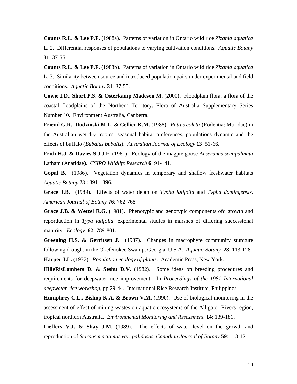**Counts R.L. & Lee P.F.** (1988a). Patterns of variation in Ontario wild rice *Zizania aquatica*  L. 2. Differential responses of populations to varying cultivation conditions. *Aquatic Botany* **31**: 37-55.

**Counts R.L. & Lee P.F.** (1988b). Patterns of variation in Ontario wild rice *Zizania aquatica*  L. 3. Similarity between source and introduced population pairs under experimental and field conditions. *Aquatic Botany* **31**: 37-55.

**Cowie I.D., Short P.S. & Osterkamp Madesen M.** (2000). Floodplain flora: a flora of the coastal floodplains of the Northern Territory. Flora of Australia Supplementary Series Number 10. Environment Australia, Canberra.

**Friend G.R., Dudzinski M.L. & Cellier K.M.** (1988). *Rattus coletti* (Rodentia: Muridae) in the Australian wet-dry tropics: seasonal habitat preferences, populations dynamic and the effects of buffalo (*Bubalus bubalis*). *Australian Journal of Ecology* **13**: 51-66.

**Frith H.J. & Davies S.J.J.F.** (1961). Ecology of the magpie goose *Anseranus semipalmata* Latham (Anatidae). *CSIRO Wildlife Research* **6**: 91-141.

**Gopal B.** (1986). Vegetation dynamics in temporary and shallow freshwater habitats *Aquatic Botany* 23 : 391 - 396.

**Grace J.B.** (1989). Effects of water depth on *Typha latifolia* and *Typha domingensis*. *American Journal of Botany* **76**: 762-768.

**Grace J.B. & Wetzel R.G.** (1981). Phenotypic and genotypic components ofd growth and reporduction in *Typa latifolia*: experimental studies in marshes of differing successional maturity. *Ecology* **62**: 789-801.

Greening H.S. & Gerritsen J. (1987). Changes in macrophyte community sturcture following drought in the Okefenokee Swamp, Georgia, U.S.A. *Aquatic Botany* **28**: 113-128. **Harper J.L.** (1977). *Population ecology of plants*. Academic Press, New York.

**HilleRisLambers D. & Seshu D.V.** (1982). Some ideas on breeding procedures and requirements for deepwater rice improvement. In *Proceedings of the 1981 International deepwater rice workshop*, pp 29-44. International Rice Research Institute, Philippines.

**Humphrey C.L., Bishop K.A. & Brown V.M.** (1990). Use of biological monitoring in the assessment of effect of mining wastes on aquatic ecosystems of the Alligator Rivers region, tropical northern Australia. *Environmental Monitoring and Assessment* **14**: 139-181.

Lieffers V.J. & Shay J.M. (1989). The effects of water level on the growth and reproduction of *Scirpus maritimus var. palidosus*. *Canadian Journal of Botany* **59**: 118-121.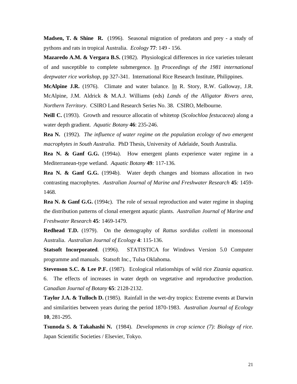**Madsen, T. & Shine R.** (1996). Seasonal migration of predators and prey - a study of pythons and rats in tropical Australia. *Ecology* **77**: 149 - 156.

**Mazaredo A.M. & Vergara B.S.** (1982). Physiological differences in rice varieties tolerant of and susceptible to complete submergence. In *Proceedings of the 1981 international deepwater rice workshop,* pp 327-341. International Rice Research Institute, Philippines.

**McAlpine J.R.** (1976). Climate and water balance. In R. Story, R.W. Galloway, J.R. McAlpine, J.M. Aldrick & M.A.J. Williams (eds) *Lands of the Alligator Rivers area, Northern Territory*. CSIRO Land Research Series No. 38. CSIRO, Melbourne.

**Neill C.** (1993). Growth and resource allocatin of whitetop (*Scolochloa festucacea*) along a water depth gradient. *Aquatic Botany* **46**: 235-246.

**Rea N.** (1992). *The influence of water regime on the population ecology of two emergent macrophytes in South Australia*. PhD Thesis, University of Adelaide, South Australia.

**Rea N. & Ganf G.G.** (1994a). How emergent plants experience water regime in a Mediterranean-type wetland. *Aquatic Botany* **49***:* 117-136*.* 

**Rea N. & Ganf G.G.** (1994b). Water depth changes and biomass allocation in two contrasting macrophytes. *Australian Journal of Marine and Freshwater Research* **45***:* 1459- 1468*.*

**Rea N. & Ganf G.G.** (1994c). The role of sexual reproduction and water regime in shaping the distribution patterns of clonal emergent aquatic plants. *Australian Journal of Marine and Freshwater Research* **45***:* 1469-1479*.* 

**Redhead T.D.** (1979). On the demography of *Rattus sordidus colletti* in monsoonal Australia. *Australian Journal of Ecology* **4**: 115-136.

**Statsoft Incorporated**. (1996). STATISTICA for Windows Version 5.0 Computer programme and manuals. Statsoft Inc., Tulsa Oklahoma.

**Stevenson S.C. & Lee P.F.** (1987). Ecological relationships of wild rice *Zizania aquatica*. 6. The effects of increases in water depth on vegetative and reproductive production. *Canadian Journal of Botany* **65**: 2128-2132.

**Taylor J.A. & Tulloch D.** (1985). Rainfall in the wet-dry tropics: Extreme events at Darwin and similarities between years during the period 1870-1983. *Australian Journal of Ecology* **10**, 281-295.

**Tsunoda S. & Takahashi N.** (1984). *Developments in crop science (7): Biology of rice*. Japan Scientific Societies / Elsevier, Tokyo.